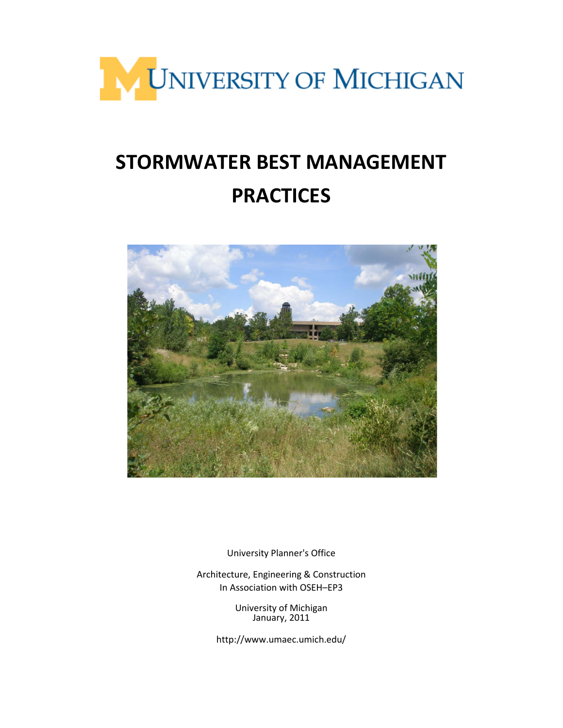

# **STORMWATER BEST MANAGEMENT PRACTICES**



University Planner's Office

Architecture, Engineering & Construction In Association with OSEH–EP3

> University of Michigan January, 2011

http://www.umaec.umich.edu/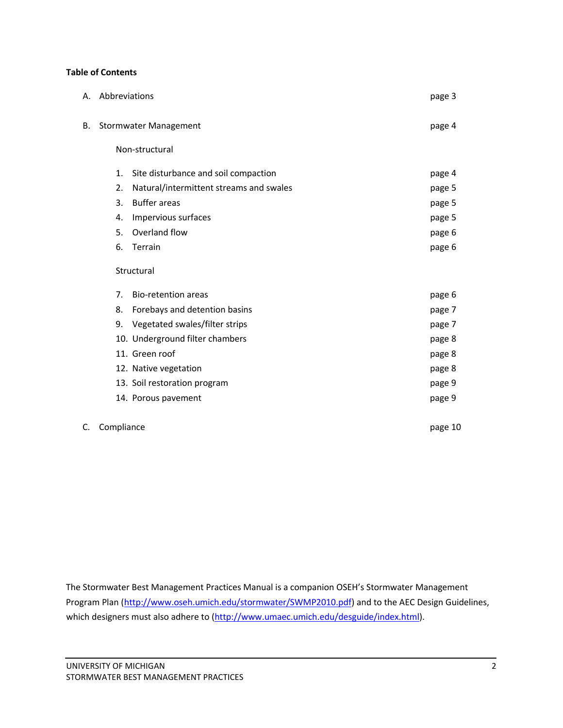## **Table of Contents**

|    | A. Abbreviations             |                                         | page 3 |
|----|------------------------------|-----------------------------------------|--------|
| В. | <b>Stormwater Management</b> |                                         | page 4 |
|    |                              | Non-structural                          |        |
|    | 1.                           | Site disturbance and soil compaction    | page 4 |
|    | 2.                           | Natural/intermittent streams and swales | page 5 |
|    | 3.                           | <b>Buffer areas</b>                     | page 5 |
|    | 4.                           | Impervious surfaces                     | page 5 |
|    | 5.                           | Overland flow                           | page 6 |
|    | 6.                           | Terrain                                 | page 6 |
|    | Structural                   |                                         |        |
|    | 7 <sub>1</sub>               | <b>Bio-retention areas</b>              | page 6 |
|    | 8.                           | Forebays and detention basins           | page 7 |
|    | 9.                           | Vegetated swales/filter strips          | page 7 |
|    |                              | 10. Underground filter chambers         | page 8 |
|    |                              | 11. Green roof                          | page 8 |
|    |                              | 12. Native vegetation                   | page 8 |
|    |                              | 13. Soil restoration program            | page 9 |
|    |                              | 14. Porous pavement                     | page 9 |
|    |                              |                                         |        |

C. Compliance page 10

The Stormwater Best Management Practices Manual is a companion OSEH's Stormwater Management Program Plan [\(http://www.oseh.umich.edu/stormwater/SWMP2010.pdf\)](http://www.oseh.umich.edu/stormwater/SWMP2010.pdf) and to the AEC Design Guidelines, which designers must also adhere to [\(http://www.umaec.umich.edu/desguide/index.html\)](http://www.umaec.umich.edu/desguide/index.html).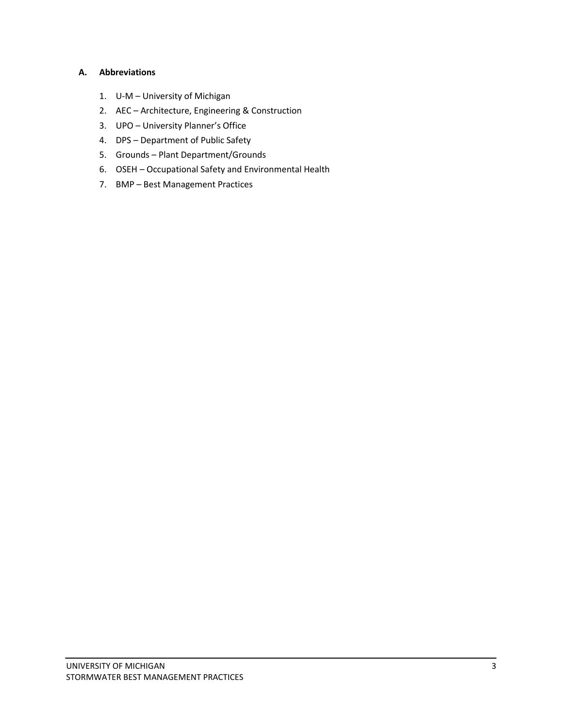# **A. Abbreviations**

- 1. U-M University of Michigan
- 2. AEC Architecture, Engineering & Construction
- 3. UPO University Planner's Office
- 4. DPS Department of Public Safety
- 5. Grounds Plant Department/Grounds
- 6. OSEH Occupational Safety and Environmental Health
- 7. BMP Best Management Practices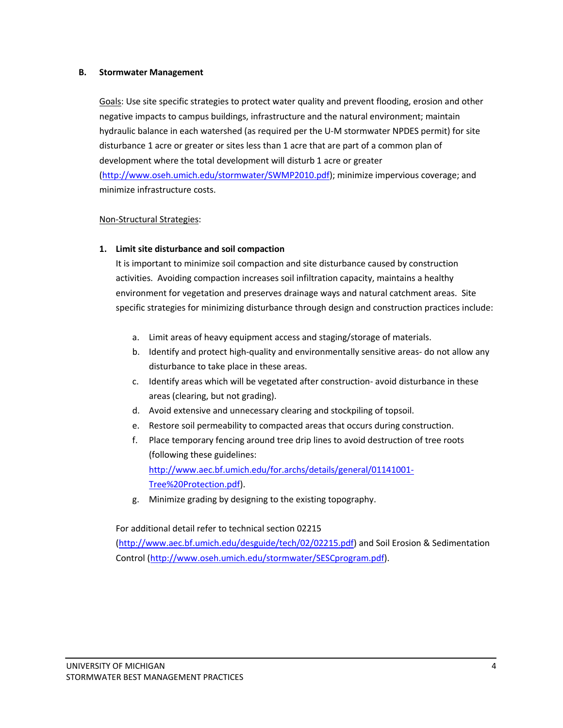#### **B. Stormwater Management**

Goals: Use site specific strategies to protect water quality and prevent flooding, erosion and other negative impacts to campus buildings, infrastructure and the natural environment; maintain hydraulic balance in each watershed (as required per the U-M stormwater NPDES permit) for site disturbance 1 acre or greater or sites less than 1 acre that are part of a common plan of development where the total development will disturb 1 acre or greater [\(http://www.oseh.umich.edu/stormwater/SWMP2010.pdf\)](http://www.oseh.umich.edu/stormwater/SWMP2010.pdf); minimize impervious coverage; and minimize infrastructure costs.

## Non-Structural Strategies:

## **1. Limit site disturbance and soil compaction**

It is important to minimize soil compaction and site disturbance caused by construction activities. Avoiding compaction increases soil infiltration capacity, maintains a healthy environment for vegetation and preserves drainage ways and natural catchment areas. Site specific strategies for minimizing disturbance through design and construction practices include:

- a. Limit areas of heavy equipment access and staging/storage of materials.
- b. Identify and protect high-quality and environmentally sensitive areas- do not allow any disturbance to take place in these areas.
- c. Identify areas which will be vegetated after construction- avoid disturbance in these areas (clearing, but not grading).
- d. Avoid extensive and unnecessary clearing and stockpiling of topsoil.
- e. Restore soil permeability to compacted areas that occurs during construction.
- f. Place temporary fencing around tree drip lines to avoid destruction of tree roots (following these guidelines: [http://www.aec.bf.umich.edu/for.archs/details/general/01141001-](http://www.aec.bf.umich.edu/for.archs/details/general/01141001-Tree%20Protection.pdf) [Tree%20Protection.pdf\)](http://www.aec.bf.umich.edu/for.archs/details/general/01141001-Tree%20Protection.pdf).
- g. Minimize grading by designing to the existing topography.

## For additional detail refer to technical section 02215

[\(http://www.aec.bf.umich.edu/desguide/tech/02/02215.pdf\)](http://www.aec.bf.umich.edu/desguide/tech/02/02215.pdf) and Soil Erosion & Sedimentation Control [\(http://www.oseh.umich.edu/stormwater/SESCprogram.pdf\)](http://www.oseh.umich.edu/stormwater/SESCprogram.pdf).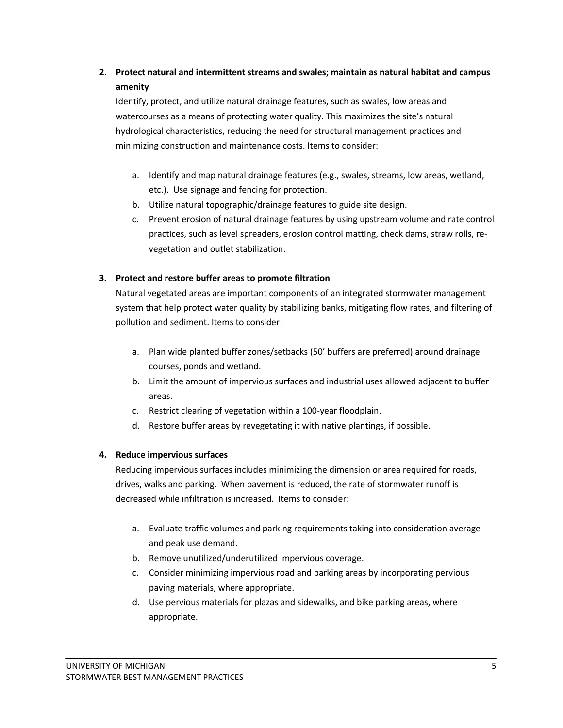# **2. Protect natural and intermittent streams and swales; maintain as natural habitat and campus amenity**

Identify, protect, and utilize natural drainage features, such as swales, low areas and watercourses as a means of protecting water quality. This maximizes the site's natural hydrological characteristics, reducing the need for structural management practices and minimizing construction and maintenance costs. Items to consider:

- a. Identify and map natural drainage features (e.g., swales, streams, low areas, wetland, etc.). Use signage and fencing for protection.
- b. Utilize natural topographic/drainage features to guide site design.
- c. Prevent erosion of natural drainage features by using upstream volume and rate control practices, such as level spreaders, erosion control matting, check dams, straw rolls, revegetation and outlet stabilization.

# **3. Protect and restore buffer areas to promote filtration**

Natural vegetated areas are important components of an integrated stormwater management system that help protect water quality by stabilizing banks, mitigating flow rates, and filtering of pollution and sediment. Items to consider:

- a. Plan wide planted buffer zones/setbacks (50' buffers are preferred) around drainage courses, ponds and wetland.
- b. Limit the amount of impervious surfaces and industrial uses allowed adjacent to buffer areas.
- c. Restrict clearing of vegetation within a 100-year floodplain.
- d. Restore buffer areas by revegetating it with native plantings, if possible.

# **4. Reduce impervious surfaces**

Reducing impervious surfaces includes minimizing the dimension or area required for roads, drives, walks and parking. When pavement is reduced, the rate of stormwater runoff is decreased while infiltration is increased. Items to consider:

- a. Evaluate traffic volumes and parking requirements taking into consideration average and peak use demand.
- b. Remove unutilized/underutilized impervious coverage.
- c. Consider minimizing impervious road and parking areas by incorporating pervious paving materials, where appropriate.
- d. Use pervious materials for plazas and sidewalks, and bike parking areas, where appropriate.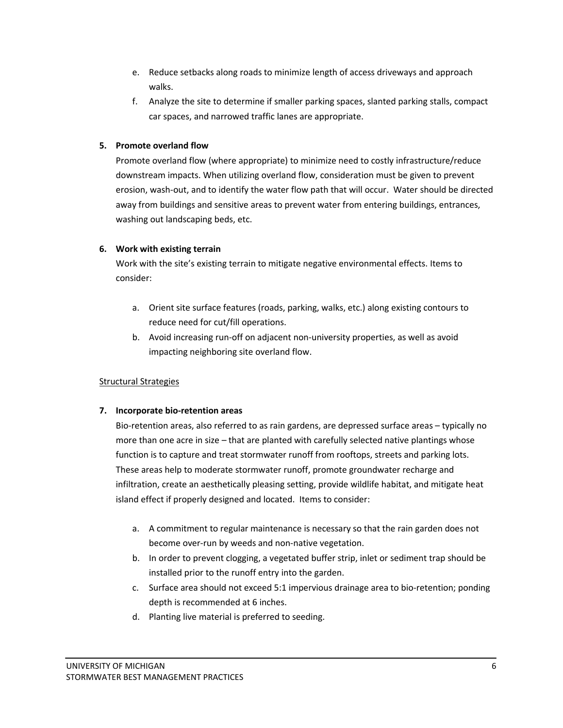- e. Reduce setbacks along roads to minimize length of access driveways and approach walks.
- f. Analyze the site to determine if smaller parking spaces, slanted parking stalls, compact car spaces, and narrowed traffic lanes are appropriate.

# **5. Promote overland flow**

Promote overland flow (where appropriate) to minimize need to costly infrastructure/reduce downstream impacts. When utilizing overland flow, consideration must be given to prevent erosion, wash-out, and to identify the water flow path that will occur. Water should be directed away from buildings and sensitive areas to prevent water from entering buildings, entrances, washing out landscaping beds, etc.

# **6. Work with existing terrain**

Work with the site's existing terrain to mitigate negative environmental effects. Items to consider:

- a. Orient site surface features (roads, parking, walks, etc.) along existing contours to reduce need for cut/fill operations.
- b. Avoid increasing run-off on adjacent non-university properties, as well as avoid impacting neighboring site overland flow.

# Structural Strategies

## **7. Incorporate bio-retention areas**

Bio-retention areas, also referred to as rain gardens, are depressed surface areas – typically no more than one acre in size – that are planted with carefully selected native plantings whose function is to capture and treat stormwater runoff from rooftops, streets and parking lots. These areas help to moderate stormwater runoff, promote groundwater recharge and infiltration, create an aesthetically pleasing setting, provide wildlife habitat, and mitigate heat island effect if properly designed and located. Items to consider:

- a. A commitment to regular maintenance is necessary so that the rain garden does not become over-run by weeds and non-native vegetation.
- b. In order to prevent clogging, a vegetated buffer strip, inlet or sediment trap should be installed prior to the runoff entry into the garden.
- c. Surface area should not exceed 5:1 impervious drainage area to bio-retention; ponding depth is recommended at 6 inches.
- d. Planting live material is preferred to seeding.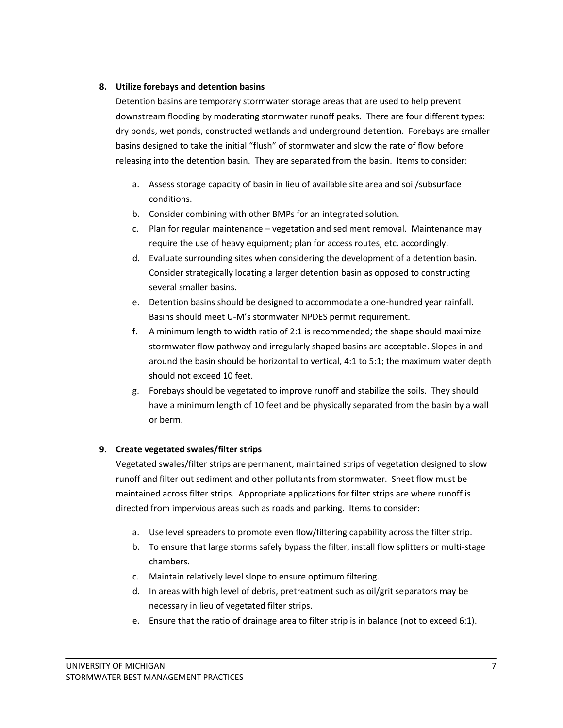## **8. Utilize forebays and detention basins**

Detention basins are temporary stormwater storage areas that are used to help prevent downstream flooding by moderating stormwater runoff peaks. There are four different types: dry ponds, wet ponds, constructed wetlands and underground detention. Forebays are smaller basins designed to take the initial "flush" of stormwater and slow the rate of flow before releasing into the detention basin. They are separated from the basin. Items to consider:

- a. Assess storage capacity of basin in lieu of available site area and soil/subsurface conditions.
- b. Consider combining with other BMPs for an integrated solution.
- c. Plan for regular maintenance vegetation and sediment removal. Maintenance may require the use of heavy equipment; plan for access routes, etc. accordingly.
- d. Evaluate surrounding sites when considering the development of a detention basin. Consider strategically locating a larger detention basin as opposed to constructing several smaller basins.
- e. Detention basins should be designed to accommodate a one-hundred year rainfall. Basins should meet U-M's stormwater NPDES permit requirement.
- f. A minimum length to width ratio of 2:1 is recommended; the shape should maximize stormwater flow pathway and irregularly shaped basins are acceptable. Slopes in and around the basin should be horizontal to vertical, 4:1 to 5:1; the maximum water depth should not exceed 10 feet.
- g. Forebays should be vegetated to improve runoff and stabilize the soils. They should have a minimum length of 10 feet and be physically separated from the basin by a wall or berm.

## **9. Create vegetated swales/filter strips**

Vegetated swales/filter strips are permanent, maintained strips of vegetation designed to slow runoff and filter out sediment and other pollutants from stormwater. Sheet flow must be maintained across filter strips. Appropriate applications for filter strips are where runoff is directed from impervious areas such as roads and parking. Items to consider:

- a. Use level spreaders to promote even flow/filtering capability across the filter strip.
- b. To ensure that large storms safely bypass the filter, install flow splitters or multi-stage chambers.
- c. Maintain relatively level slope to ensure optimum filtering.
- d. In areas with high level of debris, pretreatment such as oil/grit separators may be necessary in lieu of vegetated filter strips.
- e. Ensure that the ratio of drainage area to filter strip is in balance (not to exceed 6:1).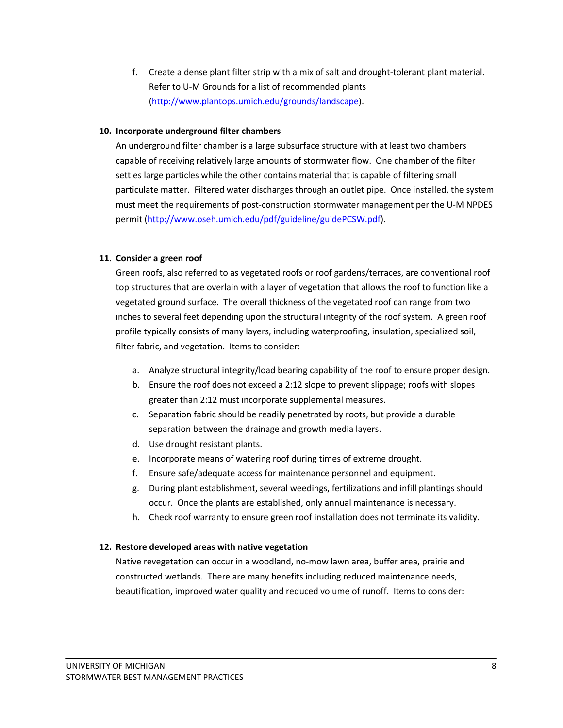f. Create a dense plant filter strip with a mix of salt and drought-tolerant plant material. Refer to U-M Grounds for a list of recommended plants [\(http://www.plantops.umich.edu/grounds/landscape\)](http://www.plantops.umich.edu/grounds/landscape).

## **10. Incorporate underground filter chambers**

An underground filter chamber is a large subsurface structure with at least two chambers capable of receiving relatively large amounts of stormwater flow. One chamber of the filter settles large particles while the other contains material that is capable of filtering small particulate matter. Filtered water discharges through an outlet pipe. Once installed, the system must meet the requirements of post-construction stormwater management per the U-M NPDES permit [\(http://www.oseh.umich.edu/pdf/guideline/guidePCSW.pdf\)](http://www.oseh.umich.edu/pdf/guideline/guidePCSW.pdf).

## **11. Consider a green roof**

Green roofs, also referred to as vegetated roofs or roof gardens/terraces, are conventional roof top structures that are overlain with a layer of vegetation that allows the roof to function like a vegetated ground surface. The overall thickness of the vegetated roof can range from two inches to several feet depending upon the structural integrity of the roof system. A green roof profile typically consists of many layers, including waterproofing, insulation, specialized soil, filter fabric, and vegetation. Items to consider:

- a. Analyze structural integrity/load bearing capability of the roof to ensure proper design.
- b. Ensure the roof does not exceed a 2:12 slope to prevent slippage; roofs with slopes greater than 2:12 must incorporate supplemental measures.
- c. Separation fabric should be readily penetrated by roots, but provide a durable separation between the drainage and growth media layers.
- d. Use drought resistant plants.
- e. Incorporate means of watering roof during times of extreme drought.
- f. Ensure safe/adequate access for maintenance personnel and equipment.
- g. During plant establishment, several weedings, fertilizations and infill plantings should occur. Once the plants are established, only annual maintenance is necessary.
- h. Check roof warranty to ensure green roof installation does not terminate its validity.

## **12. Restore developed areas with native vegetation**

Native revegetation can occur in a woodland, no-mow lawn area, buffer area, prairie and constructed wetlands. There are many benefits including reduced maintenance needs, beautification, improved water quality and reduced volume of runoff. Items to consider: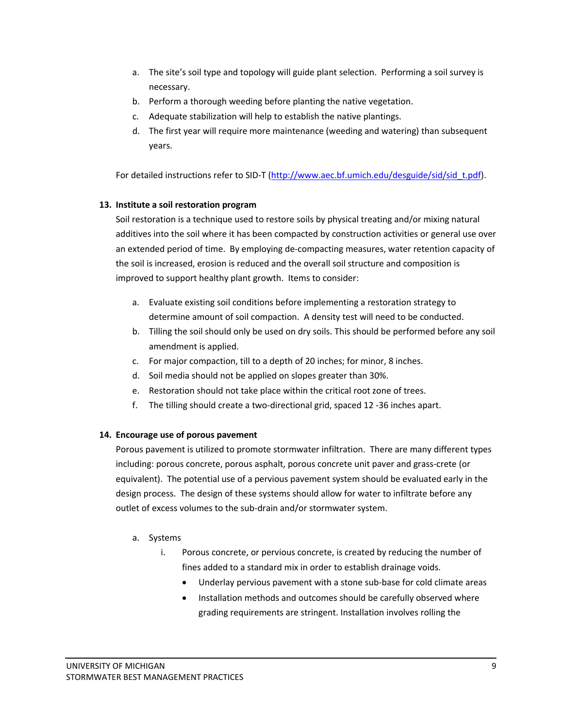- a. The site's soil type and topology will guide plant selection. Performing a soil survey is necessary.
- b. Perform a thorough weeding before planting the native vegetation.
- c. Adequate stabilization will help to establish the native plantings.
- d. The first year will require more maintenance (weeding and watering) than subsequent years.

For detailed instructions refer to SID-T [\(http://www.aec.bf.umich.edu/desguide/sid/sid\\_t.pdf\)](http://www.aec.bf.umich.edu/desguide/sid/sid_t.pdf).

## **13. Institute a soil restoration program**

Soil restoration is a technique used to restore soils by physical treating and/or mixing natural additives into the soil where it has been compacted by construction activities or general use over an extended period of time. By employing de-compacting measures, water retention capacity of the soil is increased, erosion is reduced and the overall soil structure and composition is improved to support healthy plant growth. Items to consider:

- a. Evaluate existing soil conditions before implementing a restoration strategy to determine amount of soil compaction. A density test will need to be conducted.
- b. Tilling the soil should only be used on dry soils. This should be performed before any soil amendment is applied.
- c. For major compaction, till to a depth of 20 inches; for minor, 8 inches.
- d. Soil media should not be applied on slopes greater than 30%.
- e. Restoration should not take place within the critical root zone of trees.
- f. The tilling should create a two-directional grid, spaced 12 -36 inches apart.

## **14. Encourage use of porous pavement**

Porous pavement is utilized to promote stormwater infiltration. There are many different types including: porous concrete, porous asphalt, porous concrete unit paver and grass-crete (or equivalent). The potential use of a pervious pavement system should be evaluated early in the design process. The design of these systems should allow for water to infiltrate before any outlet of excess volumes to the sub-drain and/or stormwater system.

## a. Systems

- i. Porous concrete, or pervious concrete, is created by reducing the number of fines added to a standard mix in order to establish drainage voids.
	- Underlay pervious pavement with a stone sub-base for cold climate areas
	- Installation methods and outcomes should be carefully observed where grading requirements are stringent. Installation involves rolling the